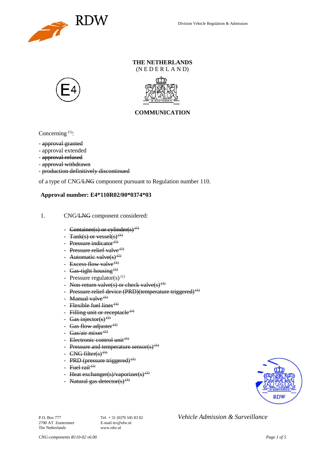

### **THE NETHERLANDS** (N E D E R L A N D)





## **COMMUNICATION**

Concerning  $(1)$ :

- approval granted
- approval extended
- approval refused
- approval withdrawn
- production definitively discontinued

of a type of CNG/LNG component pursuant to Regulation number 110.

### **Approval number: E4\*110R02/00\*0374\*03**

- 1. CNG/LNG component considered:
	- Container(s) or cylinder(s)<sup>(1)</sup>
	- $Tank(s)$  or vessel(s)<sup>(1)</sup>
	- Pressure indicator $(1)$
	- Pressure relief valve $(1)$
	- Automatic valve $(s)^{(1)}$
	- Excess flow valve $(1)$
	- Gas-tight housing  $<sup>(1)</sup>$ </sup>
	- Pressure regulator(s)<sup>(1)</sup>
	- Non-return valve(s) or check valve(s)<sup>(1)</sup>
	- Pressure relief device (PRD)(temperature triggered)<sup>(1)</sup>
	- Manual valve $<sup>(1)</sup>$ </sup>
	- Flexible fuel lines<sup> $(1)$ </sup>
	- Filling unit or receptacle  $(1)$
	- Gas injector(s)<sup>(1)</sup>
	- Gas flow adjuster $(1)$
	- Gas/air mixer $(1)$
	- Electronic control unit<sup>(1)</sup>
	- Pressure and temperature sensor(s)<sup>(1)</sup>
	- $CNG$  filter(s)<sup>(1)</sup>
	- PRD (pressure triggered)<sup>(1)</sup>
	- Fuel rail<sup> $(1)$ </sup>
	- Heat exchanger(s)/vaporizer(s)<sup>(1)</sup>
	- Natural gas detector(s)<sup>(1)</sup>



2700 AT Zoetermeer The Netherlands www.rdw.nl

P.O. Box 777 **Tel.** + 31 (0)79 345 83 02 *Vehicle Admission & Surveillance*<br>2700 AT Zoetermeer **E-mail** ttv@rdw.nl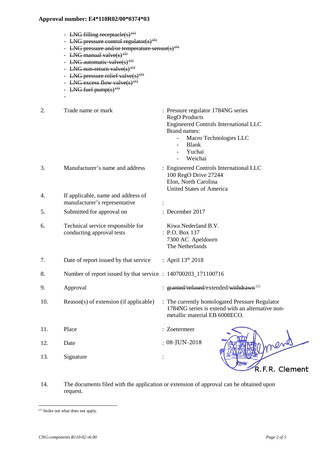- LNG filling receptacle(s)<sup>(1)</sup>
- LNG pressure control regulator(s)<sup>(1)</sup>
- LNG pressure and/or temperature sensor(s)<sup>(1)</sup>
- LNG manual valve $(s)$ <sup>(1)</sup>
- LNG automatic valve $(s)^{(1)}$
- LNG non-return valve $(s)$ <sup>(1)</sup>
- LNG pressure relief valve $(s)^{(1)}$
- LNG excess flow valve(s)<sup>(1)</sup>
- LNG fuel pump $(s)$ <sup>(1)</sup>

-

- 2. Trade name or mark : Pressure regulator 1784NG series RegO Products Engineered Controls International LLC Brand names: - Macro Technologies LLC - Blank Yuchai **Weichai** 3. Manufacturer's name and address : Engineered Controls International LLC 100 RegO Drive 27244 Elon, North Carolina United States of America 4. If applicable, name and address of manufacturer's representative : 5. Submitted for approval on : December 2017 6. Technical service responsible for Kiwa Nederland B.V. conducting approval tests : P.O. Box 137 7300 AC Apeldoorn The Netherlands 7. Date of report issued by that service  $\therefore$  April 13<sup>th</sup> 2018 8. Number of report issued by that service : 140700203\_171100716 9. Approval **external in the set of the set of the set of the set of the set of the set of the set of the set of the set of the set of the set of the set of the set of the set of the set of the set of the set of the set of** 10. Reason(s) of extension (if applicable) : The currently homologated Pressure Regulator 1784NG series is extend with an alternative nonmetallic material EB 6008ECO. 11. Place : Zoetermeer 08-JUN-201812. Date : 13. Signature : R.F.R. Clement
- 14. The documents filed with the application or extension of approval can be obtained upon request.

<span id="page-1-0"></span><sup>(1)</sup> Strike out what does not apply.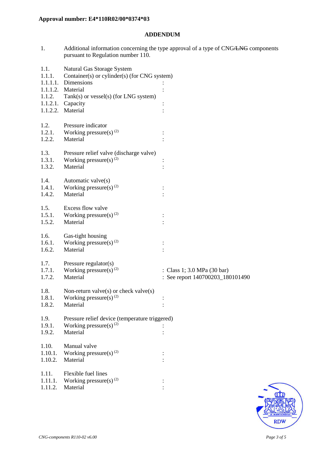### **ADDENDUM**

1. Additional information concerning the type approval of a type of CNG/LNG components pursuant to Regulation number 110.

| 1.1.     | Natural Gas Storage System                     |                                  |
|----------|------------------------------------------------|----------------------------------|
| 1.1.1.   | Container(s) or cylinder(s) (for CNG system)   |                                  |
|          | 1.1.1.1. Dimensions                            |                                  |
|          | 1.1.1.2. Material                              |                                  |
| 1.1.2.   | $Tank(s)$ or vessel(s) (for LNG system)        |                                  |
| 1.1.2.1. | Capacity                                       |                                  |
| 1.1.2.2. | Material                                       |                                  |
|          |                                                |                                  |
| 1.2.     | Pressure indicator                             |                                  |
| 1.2.1.   | Working pressure(s) $^{(2)}$                   |                                  |
| 1.2.2.   | Material                                       |                                  |
| 1.3.     | Pressure relief valve (discharge valve)        |                                  |
| 1.3.1.   | Working pressure(s) <sup>(2)</sup>             |                                  |
| 1.3.2.   | Material                                       |                                  |
|          |                                                |                                  |
| 1.4.     | Automatic valve(s)                             |                                  |
| 1.4.1.   | Working pressure(s) $(2)$                      |                                  |
| 1.4.2.   | Material                                       |                                  |
|          |                                                |                                  |
| 1.5.     | Excess flow valve                              |                                  |
| 1.5.1.   | Working pressure(s) <sup>(2)</sup>             |                                  |
| 1.5.2.   | Material                                       |                                  |
|          |                                                |                                  |
| 1.6.     | Gas-tight housing                              |                                  |
| 1.6.1.   | Working pressure(s) <sup>(2)</sup>             |                                  |
| 1.6.2.   | Material                                       |                                  |
| 1.7.     | Pressure regulator(s)                          |                                  |
| 1.7.1.   | Working pressure(s) <sup>(2)</sup>             | : Class 1; 3.0 MPa (30 bar)      |
| 1.7.2.   | Material                                       | : See report 140700203_180101490 |
|          |                                                |                                  |
| 1.8.     | Non-return valve(s) or check valve(s)          |                                  |
| 1.8.1.   | Working pressure(s) <sup>(2)</sup>             |                                  |
| 1.8.2.   | Material                                       |                                  |
| 1.9.     | Pressure relief device (temperature triggered) |                                  |
| 1.9.1.   | Working pressure(s) $(2)$                      |                                  |
| 1.9.2.   | Material                                       |                                  |
|          |                                                |                                  |
| 1.10.    | Manual valve                                   |                                  |
| 1.10.1.  | Working pressure(s) $(2)$                      |                                  |
| 1.10.2.  | Material                                       |                                  |
|          |                                                |                                  |
| 1.11.    | Flexible fuel lines                            |                                  |
| 1.11.1.  | Working pressure(s) <sup>(2)</sup>             |                                  |
| 1.11.2.  | Material                                       |                                  |
|          |                                                |                                  |

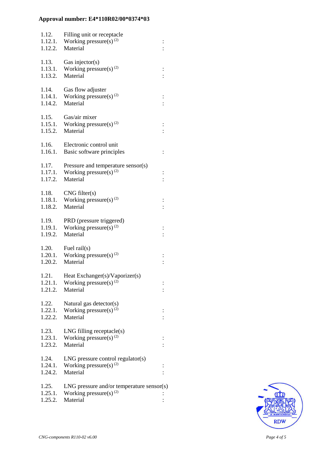| 1.12.<br>1.12.1.<br>1.12.2. | Filling unit or receptacle<br>Working pressure(s) $^{(2)}$<br>Material                  | $\ddot{\cdot}$ |
|-----------------------------|-----------------------------------------------------------------------------------------|----------------|
| 1.13.<br>1.13.1.<br>1.13.2. | Gas injector( $s$ )<br>Working pressure(s) $^{(2)}$<br>Material                         |                |
| 1.14.<br>1.14.1.<br>1.14.2. | Gas flow adjuster<br>Working pressure(s) $^{(2)}$<br>Material                           |                |
| 1.15.<br>1.15.1.<br>1.15.2. | Gas/air mixer<br>Working pressure(s) $^{(2)}$<br>Material                               |                |
| 1.16.<br>1.16.1.            | Electronic control unit<br>Basic software principles                                    |                |
| 1.17.<br>1.17.1.<br>1.17.2. | Pressure and temperature sensor(s)<br>Working pressure(s) $^{(2)}$<br>Material          |                |
| 1.18.<br>1.18.2.            | CNG filter(s)<br>1.18.1. Working pressure(s) <sup>(2)</sup><br>Material                 |                |
| 1.19.<br>1.19.1.<br>1.19.2. | PRD (pressure triggered)<br>Working pressure(s) <sup>(2)</sup><br>Material              | $\vdots$       |
| 1.20.<br>1.20.2.            | Fuel $\text{raid}(s)$<br>1.20.1. Working pressure(s) <sup>(2)</sup><br>Material         |                |
| 1.21.<br>1.21.1.<br>1.21.2. | Heat Exchanger(s)/Vaporizer(s)<br>Working pressure(s) $(2)$<br>Material                 |                |
| 1.22.<br>1.22.1.<br>1.22.2. | Natural gas detector(s)<br>Working pressure(s) <sup>(2)</sup><br>Material               |                |
| 1.23.<br>1.23.1.<br>1.23.2. | $LNG$ filling receptacle $(s)$<br>Working pressure(s) <sup>(2)</sup><br>Material        |                |
| 1.24.<br>1.24.1.<br>1.24.2. | $LNG$ pressure control regulator(s)<br>Working pressure(s) <sup>(2)</sup><br>Material   |                |
| 1.25.<br>1.25.1.<br>1.25.2. | $LNG$ pressure and/or temperature sensor(s)<br>Working pressure(s) $^{(2)}$<br>Material |                |